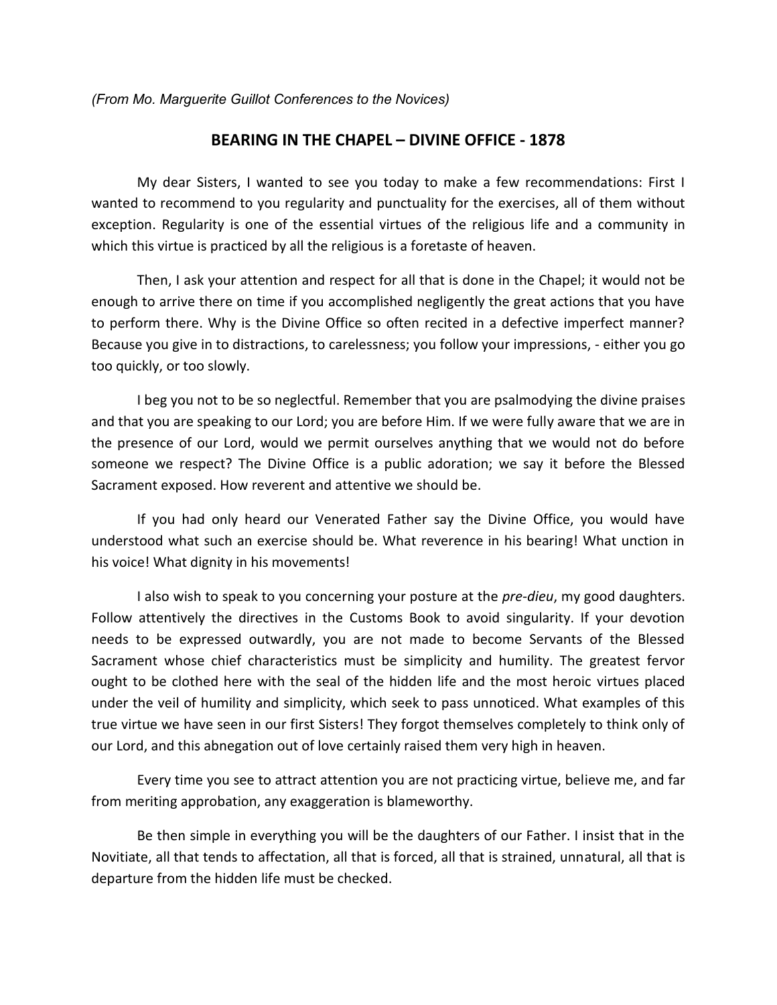*(From Mo. Marguerite Guillot Conferences to the Novices)* 

## **BEARING IN THE CHAPEL – DIVINE OFFICE - 1878**

 My dear Sisters, I wanted to see you today to make a few recommendations: First I wanted to recommend to you regularity and punctuality for the exercises, all of them without exception. Regularity is one of the essential virtues of the religious life and a community in which this virtue is practiced by all the religious is a foretaste of heaven.

 Then, I ask your attention and respect for all that is done in the Chapel; it would not be enough to arrive there on time if you accomplished negligently the great actions that you have to perform there. Why is the Divine Office so often recited in a defective imperfect manner? Because you give in to distractions, to carelessness; you follow your impressions, - either you go too quickly, or too slowly.

 I beg you not to be so neglectful. Remember that you are psalmodying the divine praises and that you are speaking to our Lord; you are before Him. If we were fully aware that we are in the presence of our Lord, would we permit ourselves anything that we would not do before someone we respect? The Divine Office is a public adoration; we say it before the Blessed Sacrament exposed. How reverent and attentive we should be.

 If you had only heard our Venerated Father say the Divine Office, you would have understood what such an exercise should be. What reverence in his bearing! What unction in his voice! What dignity in his movements!

 I also wish to speak to you concerning your posture at the *pre-dieu*, my good daughters. Follow attentively the directives in the Customs Book to avoid singularity. If your devotion needs to be expressed outwardly, you are not made to become Servants of the Blessed Sacrament whose chief characteristics must be simplicity and humility. The greatest fervor ought to be clothed here with the seal of the hidden life and the most heroic virtues placed under the veil of humility and simplicity, which seek to pass unnoticed. What examples of this true virtue we have seen in our first Sisters! They forgot themselves completely to think only of our Lord, and this abnegation out of love certainly raised them very high in heaven.

 Every time you see to attract attention you are not practicing virtue, believe me, and far from meriting approbation, any exaggeration is blameworthy.

 Be then simple in everything you will be the daughters of our Father. I insist that in the Novitiate, all that tends to affectation, all that is forced, all that is strained, unnatural, all that is departure from the hidden life must be checked.